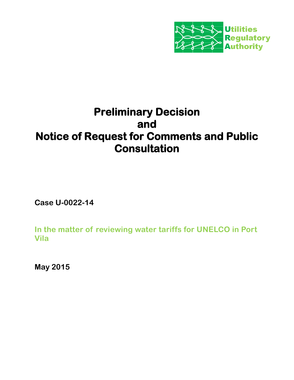

# **Preliminary Decision and Notice of Request for Comments and Public Consultation**

**Case U-0022-14**

**In the matter of reviewing water tariffs for UNELCO in Port Vila**

**May 2015**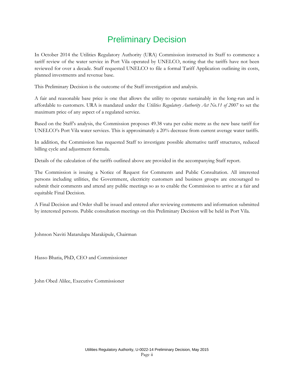## Preliminary Decision

In October 2014 the Utilities Regulatory Authority (URA) Commission instructed its Staff to commence a tariff review of the water service in Port Vila operated by UNELCO, noting that the tariffs have not been reviewed for over a decade. Staff requested UNELCO to file a formal Tariff Application outlining its costs, planned investments and revenue base.

This Preliminary Decision is the outcome of the Staff investigation and analysis.

A fair and reasonable base price is one that allows the utility to operate sustainably in the long-run and is affordable to customers. URA is mandated under the *Utilities Regulatory Authority Act No.11 of 2007* to set the maximum price of any aspect of a regulated service.

Based on the Staff's analysis, the Commission proposes 49.38 vatu per cubic metre as the new base tariff for UNELCO's Port Vila water services. This is approximately a 20% decrease from current average water tariffs.

In addition, the Commission has requested Staff to investigate possible alternative tariff structures, reduced billing cycle and adjustment formula.

Details of the calculation of the tariffs outlined above are provided in the accompanying Staff report.

The Commission is issuing a Notice of Request for Comments and Public Consultation. All interested persons including utilities, the Government, electricity customers and business groups are encouraged to submit their comments and attend any public meetings so as to enable the Commission to arrive at a fair and equitable Final Decision.

A Final Decision and Order shall be issued and entered after reviewing comments and information submitted by interested persons. Public consultation meetings on this Preliminary Decision will be held in Port Vila.

Johnson Naviti Matarulapa Marakipule, Chairman

Hasso Bhatia, PhD, CEO and Commissioner

John Obed Alilee, Executive Commissioner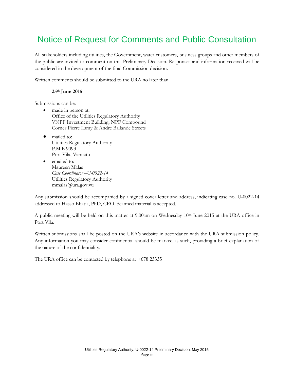## Notice of Request for Comments and Public Consultation

All stakeholders including utilities, the Government, water customers, business groups and other members of the public are invited to comment on this Preliminary Decision. Responses and information received will be considered in the development of the final Commission decision.

Written comments should be submitted to the URA no later than

#### **25th June 2015**

Submissions can be:

- made in person at: Office of the Utilities Regulatory Authority VNPF Investment Building, NPF Compound Corner Pierre Lamy & Andre Ballande Streets
- mailed to: Utilities Regulatory Authority P.M.B 9093 Port Vila, Vanuatu
- emailed to: Maureen Malas *Case Coordinator –U-0022-14* Utilities Regulatory Authority mmalas@ura.gov.vu

Any submission should be accompanied by a signed cover letter and address, indicating case no. U-0022-14 addressed to Hasso Bhatia, PhD, CEO. Scanned material is accepted.

A public meeting will be held on this matter at  $9:00$ am on Wednesday  $10<sup>th</sup>$  June 2015 at the URA office in Port Vila.

Written submissions shall be posted on the URA's website in accordance with the URA submission policy. Any information you may consider confidential should be marked as such, providing a brief explanation of the nature of the confidentiality.

The URA office can be contacted by telephone at +678 23335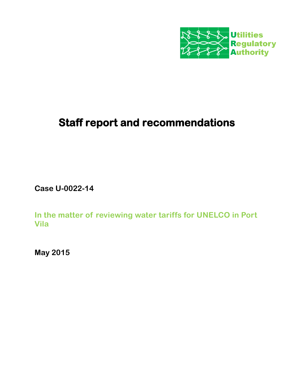

# **Staff report and recommendations**

**Case U-0022-14**

**In the matter of reviewing water tariffs for UNELCO in Port Vila** 

**May 2015**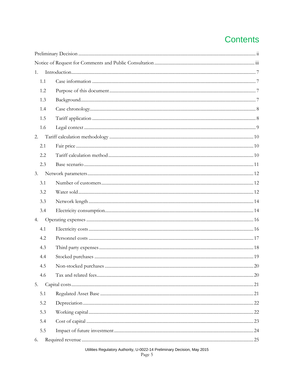## **Contents**

| 1.  |  |  |
|-----|--|--|
| 1.1 |  |  |
| 1.2 |  |  |
| 1.3 |  |  |
| 1.4 |  |  |
| 1.5 |  |  |
| 1.6 |  |  |
| 2.  |  |  |
| 2.1 |  |  |
| 2.2 |  |  |
| 2.3 |  |  |
| 3.  |  |  |
| 3.1 |  |  |
| 3.2 |  |  |
| 3.3 |  |  |
| 3.4 |  |  |
| 4.  |  |  |
| 4.1 |  |  |
| 4.2 |  |  |
| 4.3 |  |  |
| 4.4 |  |  |
| 4.5 |  |  |
| 4.6 |  |  |
| 5.  |  |  |
| 5.1 |  |  |
| 5.2 |  |  |
| 5.3 |  |  |
| 5.4 |  |  |
| 5.5 |  |  |
| 6.  |  |  |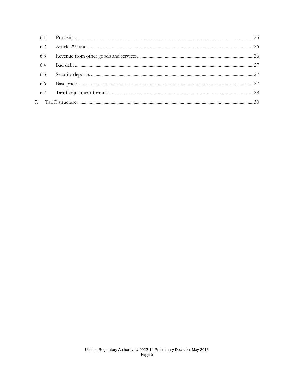| 6.2 |  |
|-----|--|
| 6.3 |  |
| 6.4 |  |
| 6.5 |  |
| 6.6 |  |
| 6.7 |  |
|     |  |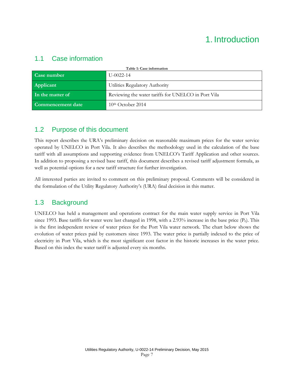## 1. Introduction

#### 1.1 Case information

| Table 1: Case information |                                                     |  |
|---------------------------|-----------------------------------------------------|--|
| Case number               | $U - 0022 - 14$                                     |  |
| Applicant                 | Utilities Regulatory Authority                      |  |
| In the matter of          | Reviewing the water tariffs for UNELCO in Port Vila |  |
| <b>Commencement date</b>  | $10th$ October 2014                                 |  |

#### 1.2 Purpose of this document

This report describes the URA's preliminary decision on reasonable maximum prices for the water service operated by UNELCO in Port Vila. It also describes the methodology used in the calculation of the base tariff with all assumptions and supporting evidence from UNELCO's Tariff Application and other sources. In addition to proposing a revised base tariff, this document describes a revised tariff adjustment formula, as well as potential options for a new tariff structure for further investigation.

All interested parties are invited to comment on this preliminary proposal. Comments will be considered in the formulation of the Utility Regulatory Authority's (URA) final decision in this matter.

### 1.3 Background

UNELCO has held a management and operations contract for the main water supply service in Port Vila since 1993. Base tariffs for water were last changed in 1998, with a 2.93% increase in the base price (P<sub>0</sub>). This is the first independent review of water prices for the Port Vila water network. The chart below shows the evolution of water prices paid by customers since 1993. The water price is partially indexed to the price of electricity in Port Vila, which is the most significant cost factor in the historic increases in the water price. Based on this index the water tariff is adjusted every six months.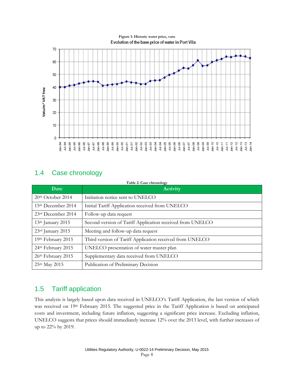

### 1.4 Case chronology

| Table 2: Case chronology |                                                           |  |
|--------------------------|-----------------------------------------------------------|--|
| Date                     | <b>Activity</b>                                           |  |
| 20th October 2014        | Initiation notice sent to UNELCO                          |  |
| 15th December 2014       | Initial Tariff Application received from UNELCO           |  |
| 23rd December 2014       | Follow-up data request                                    |  |
| $13th$ January 2015      | Second version of Tariff Application received from UNELCO |  |
| 23rd January 2015        | Meeting and follow-up data request                        |  |
| 19th February 2015       | Third version of Tariff Application received from UNELCO  |  |
| 24th February 2015       | UNELCO presentation of water master plan                  |  |
| 26th February 2015       | Supplementary data received from UNELCO                   |  |
| 25th May 2015            | Publication of Preliminary Decision                       |  |

### 1.5 Tariff application

This analysis is largely based upon data received in UNELCO's Tariff Application, the last version of which was received on 19th February 2015. The suggested price in the Tariff Application is based on anticipated costs and investment, including future inflation, suggesting a significant price increase. Excluding inflation, UNELCO suggests that prices should immediately increase 12% over the 2013 level, with further increases of up to 22% by 2019.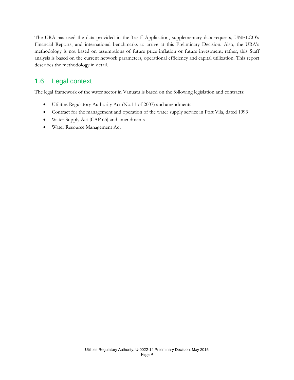The URA has used the data provided in the Tariff Application, supplementary data requests, UNELCO's Financial Reports, and international benchmarks to arrive at this Preliminary Decision. Also, the URA's methodology is not based on assumptions of future price inflation or future investment; rather, this Staff analysis is based on the current network parameters, operational efficiency and capital utilization. This report describes the methodology in detail.

### 1.6 Legal context

The legal framework of the water sector in Vanuatu is based on the following legislation and contracts:

- Utilities Regulatory Authority Act (No.11 of 2007) and amendments
- Contract for the management and operation of the water supply service in Port Vila, dated 1993
- Water Supply Act [CAP 65] and amendments
- Water Resource Management Act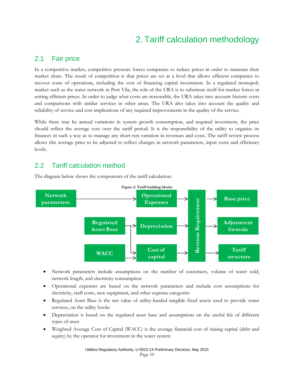## 2. Tariff calculation methodology

#### 2.1 Fair price

In a competitive market, competitive pressure forces companies to reduce prices in order to maintain their market share. The result of competition is that prices are set at a level that allows efficient companies to recover costs of operations, including the cost of financing capital investment. In a regulated monopoly market such as the water network in Port Vila, the role of the URA is to substitute itself for market forces in setting efficient prices. In order to judge what costs are reasonable, the URA takes into account historic costs and comparisons with similar services in other areas. The URA also takes into account the quality and reliability of service and cost implications of any required improvements in the quality of the service.

While there may be annual variations in system growth consumption, and required investment, the price should reflect the average cost over the tariff period. It is the responsibility of the utility to organise its finances in such a way as to manage any short-run variation in revenues and costs. The tariff review process allows this average price to be adjusted to reflect changes in network parameters, input costs and efficiency levels.

#### 2.2 Tariff calculation method

The diagram below shows the components of the tariff calculation:



- Network parameters include assumptions on the number of customers, volume of water sold, network length, and electricity consumption
- Operational expenses are based on the network parameters and include cost assumptions for electricity, staff costs, new equipment, and other expense categories
- Regulated Asset Base is the net value of utility-funded tangible fixed assets used to provide water services, on the utility books
- Depreciation is based on the regulated asset base and assumptions on the useful life of different types of asset
- Weighted Average Cost of Capital (WACC) is the average financial cost of raising capital (debt and equity) by the operator for investment in the water system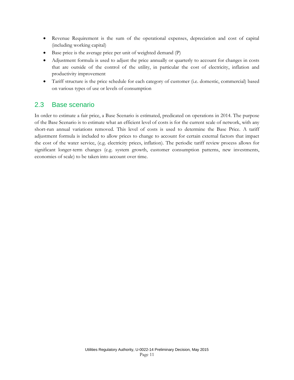- Revenue Requirement is the sum of the operational expenses, depreciation and cost of capital (including working capital)
- Base price is the average price per unit of weighted demand (P)
- Adjustment formula is used to adjust the price annually or quarterly to account for changes in costs that are outside of the control of the utility, in particular the cost of electricity, inflation and productivity improvement
- Tariff structure is the price schedule for each category of customer (i.e. domestic, commercial) based on various types of use or levels of consumption

#### 2.3 Base scenario

In order to estimate a fair price, a Base Scenario is estimated, predicated on operations in 2014. The purpose of the Base Scenario is to estimate what an efficient level of costs is for the current scale of network, with any short-run annual variations removed. This level of costs is used to determine the Base Price. A tariff adjustment formula is included to allow prices to change to account for certain external factors that impact the cost of the water service, (e.g. electricity prices, inflation). The periodic tariff review process allows for significant longer-term changes (e.g. system growth, customer consumption patterns, new investments, economies of scale) to be taken into account over time.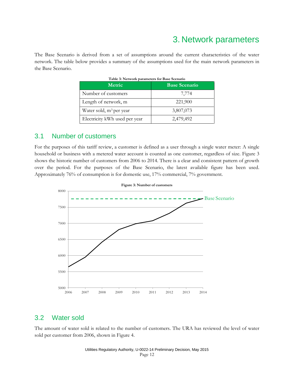### 3. Network parameters

The Base Scenario is derived from a set of assumptions around the current characteristics of the water network. The table below provides a summary of the assumptions used for the main network parameters in the Base Scenario.

| <b>Metric</b>                       | <b>Base Scenario</b> |
|-------------------------------------|----------------------|
| Number of customers                 | 7,774                |
| Length of network, m                | 221,900              |
| Water sold, m <sup>3</sup> per year | 3,807,073            |
| Electricity kWh used per year       | 2,479,492            |

#### 3.1 Number of customers

For the purposes of this tariff review, a customer is defined as a user through a single water meter: A single household or business with a metered water account is counted as one customer, regardless of size. [Figure 3](#page-11-0) shows the historic number of customers from 2006 to 2014. There is a clear and consistent pattern of growth over the period. For the purposes of the Base Scenario, the latest available figure has been used. Approximately 76% of consumption is for domestic use, 17% commercial, 7% government.

<span id="page-11-0"></span>



#### 3.2 Water sold

The amount of water sold is related to the number of customers. The URA has reviewed the level of water sold per customer from 2006, shown in [Figure 4.](#page-12-0)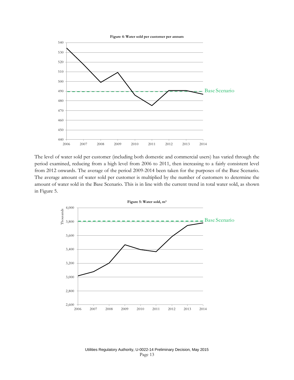<span id="page-12-0"></span>

The level of water sold per customer (including both domestic and commercial users) has varied through the period examined, reducing from a high level from 2006 to 2011, then increasing to a fairly consistent level from 2012 onwards. The average of the period 2009-2014 been taken for the purposes of the Base Scenario. The average amount of water sold per customer is multiplied by the number of customers to determine the amount of water sold in the Base Scenario. This is in line with the current trend in total water sold, as shown in [Figure 5.](#page-12-1)

<span id="page-12-1"></span>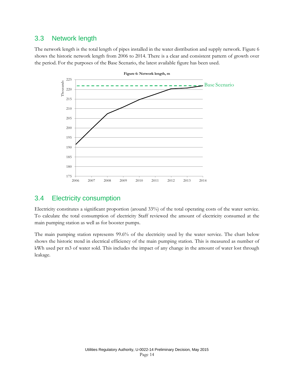#### 3.3 Network length

<span id="page-13-0"></span>The network length is the total length of pipes installed in the water distribution and supply network. [Figure 6](#page-13-0) shows the historic network length from 2006 to 2014. There is a clear and consistent pattern of growth over the period. For the purposes of the Base Scenario, the latest available figure has been used.



#### **Figure 6: Network length, m**

#### 3.4 Electricity consumption

Electricity constitutes a significant proportion (around 33%) of the total operating costs of the water service. To calculate the total consumption of electricity Staff reviewed the amount of electricity consumed at the main pumping station as well as for booster pumps.

The main pumping station represents 99.6% of the electricity used by the water service. The chart below shows the historic trend in electrical efficiency of the main pumping station. This is measured as number of kWh used per m3 of water sold. This includes the impact of any change in the amount of water lost through leakage.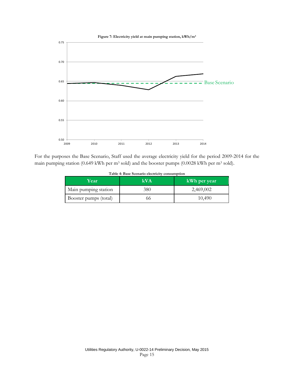

For the purposes the Base Scenario, Staff used the average electricity yield for the period 2009-2014 for the main pumping station (0.649 kWh per m<sup>3</sup> sold) and the booster pumps (0.0028 kWh per m<sup>3</sup> sold).

| Year                  | kVA | kWh per year |
|-----------------------|-----|--------------|
| Main pumping station  | 380 | 2,469,002    |
| Booster pumps (total) | 66  | 10,490       |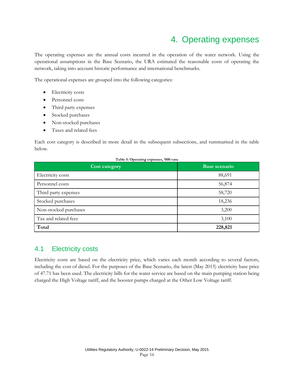### 4. Operating expenses

The operating expenses are the annual costs incurred in the operation of the water network. Using the operational assumptions in the Base Scenario, the URA estimated the reasonable costs of operating the network, taking into account historic performance and international benchmarks.

The operational expenses are grouped into the following categories:

- Electricity costs
- Personnel costs
- Third party expenses
- Stocked purchases
- Non-stocked purchases
- Taxes and related fees

Each cost category is described in more detail in the subsequent subsections, and summarised in the table below.

| <b>Cost category</b>  | Base scenario |
|-----------------------|---------------|
| Electricity costs     | 88,691        |
| Personnel costs       | 56,874        |
| Third party expenses  | 58,720        |
| Stocked purchases     | 18,236        |
| Non-stocked purchases | 3,200         |
| Tax and related fees  | 3,100         |
| Total                 | 228,821       |

### 4.1 Electricity costs

Electricity costs are based on the electricity price, which varies each month according to several factors, including the cost of diesel. For the purposes of the Base Scenario, the latest (May 2015) electricity base price of 47.71 has been used. The electricity bills for the water service are based on the main pumping station being charged the High Voltage tariff, and the booster pumps charged at the Other Low Voltage tariff.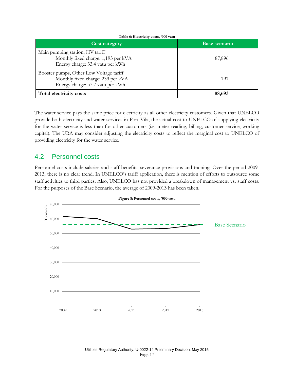| <b>Cost category</b>                                                                                             | Base scenario |
|------------------------------------------------------------------------------------------------------------------|---------------|
| Main pumping station, HV tariff<br>Monthly fixed charge: 1,193 per kVA<br>Energy charge: 33.4 vatu per kWh       | 87,896        |
| Booster pumps, Other Low Voltage tariff<br>Monthly fixed charge: 239 per kVA<br>Energy charge: 57.7 vatu per kWh | 797           |
| Total electricity costs                                                                                          | 88,693        |

The water service pays the same price for electricity as all other electricity customers. Given that UNELCO provide both electricity and water services in Port Vila, the actual cost to UNELCO of supplying electricity for the water service is less than for other customers (i.e. meter reading, billing, customer service, working capital). The URA may consider adjusting the electricity costs to reflect the marginal cost to UNELCO of providing electricity for the water service.

#### 4.2 Personnel costs

Personnel costs include salaries and staff benefits, severance provisions and training. Over the period 2009- 2013, there is no clear trend. In UNELCO's tariff application, there is mention of efforts to outsource some staff activities to third parties. Also, UNELCO has not provided a breakdown of management vs. staff costs. For the purposes of the Base Scenario, the average of 2009-2013 has been taken.

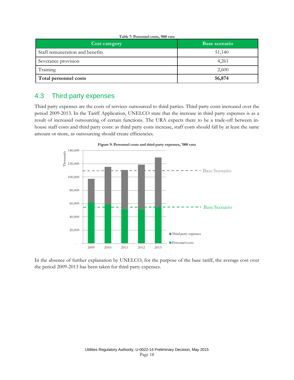| <b>Cost category</b>            | Base scenario |
|---------------------------------|---------------|
| Staff remuneration and benefits | 51,140        |
| Severance provision             | 4,261         |
| Training                        | 2,600         |
| Total personnel costs           | 56,874        |

#### 4.3 Third party expenses

Third party expenses are the costs of services outsourced to third parties. Third party costs increased over the period 2009-2013. In the Tariff Application, UNELCO state that the increase in third party expenses is as a result of increased outsourcing of certain functions. The URA expects there to be a trade-off between inhouse staff costs and third party costs: as third party costs increase, staff costs should fall by at least the same amount or more, as outsourcing should create efficiencies.



In the absence of further explanation by UNELCO, for the purpose of the base tariff, the average cost over the period 2009-2013 has been taken for third party expenses.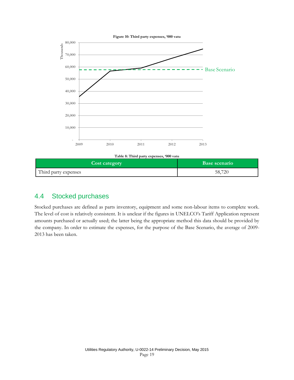

### <span id="page-18-0"></span>4.4 Stocked purchases

Stocked purchases are defined as parts inventory, equipment and some non-labour items to complete work. The level of cost is relatively consistent. It is unclear if the figures in UNELCO's Tariff Application represent amounts purchased or actually used; the latter being the appropriate method this data should be provided by the company. In order to estimate the expenses, for the purpose of the Base Scenario, the average of 2009- 2013 has been taken.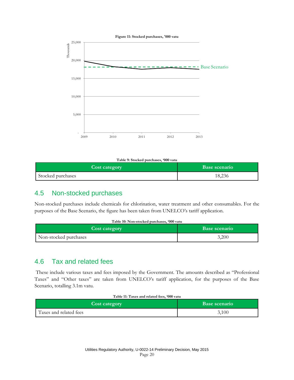

**Table 9: Stocked purchases, '000 vatu**

| <b>Cost category</b> | Base scenario |
|----------------------|---------------|
| Stocked purchases    | 18,236        |

### 4.5 Non-stocked purchases

Non-stocked purchases include chemicals for chlorination, water treatment and other consumables. For the purposes of the Base Scenario, the figure has been taken from UNELCO's tariff application.

| Table 10: Non-stocked purchases, '000 vatu |                      |  |
|--------------------------------------------|----------------------|--|
| <b>Cost category</b>                       | <b>Base scenario</b> |  |
| Non-stocked purchases                      | 3,200                |  |

### 4.6 Tax and related fees

These include various taxes and fees imposed by the Government. The amounts described as "Professional Taxes" and "Other taxes" are taken from UNELCO's tariff application, for the purposes of the Base Scenario, totalling 3.1m vatu.

#### **Table 11: Taxes and related fees, '000 vatu**

| <b>Cost category</b>   | Base scenario |
|------------------------|---------------|
| Taxes and related fees | 3,100         |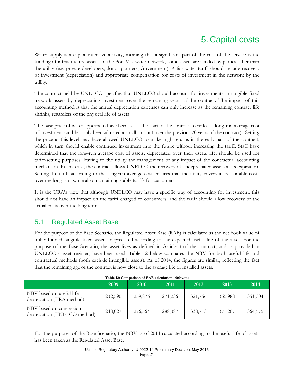## 5. Capital costs

Water supply is a capital-intensive activity, meaning that a significant part of the cost of the service is the funding of infrastructure assets. In the Port Vila water network, some assets are funded by parties other than the utility (e.g. private developers, donor partners, Government). A fair water tariff should include recovery of investment (depreciation) and appropriate compensation for costs of investment in the network by the utility.

The contract held by UNELCO specifies that UNELCO should account for investments in tangible fixed network assets by depreciating investment over the remaining years of the contract. The impact of this accounting method is that the annual depreciation expenses can only increase as the remaining contract life shrinks, regardless of the physical life of assets.

The base price of water appears to have been set at the start of the contract to reflect a long-run average cost of investment (and has only been adjusted a small amount over the previous 20 years of the contract). Setting the price at this level may have allowed UNELCO to make high returns in the early part of the contract, which in turn should enable continued investment into the future without increasing the tariff. Staff have determined that the long-run average cost of assets, depreciated over their useful life, should be used for tariff-setting purposes, leaving to the utility the management of any impact of the contractual accounting mechanism. In any case, the contract allows UNELCO the recovery of undepreciated assets at its expiration. Setting the tariff according to the long-run average cost ensures that the utility covers its reasonable costs over the long-run, while also maintaining stable tariffs for customers.

It is the URA's view that although UNELCO may have a specific way of accounting for investment, this should not have an impact on the tariff charged to consumers, and the tariff should allow recovery of the actual costs over the long term.

#### 5.1 Regulated Asset Base

For the purpose of the Base Scenario, the Regulated Asset Base (RAB) is calculated as the net book value of utility-funded tangible fixed assets, depreciated according to the expected useful life of the asset. For the purpose of the Base Scenario, the asset lives as defined in Article 3 of the contract, and as provided in UNELCO's asset register, have been used. [Table 12](#page-20-0) [below](#page-20-0) compares the NBV for both useful life and contractual methods (both exclude intangible assets). As of 2014, the figures are similar, reflecting the fact that the remaining age of the contract is now close to the average life of installed assets.

<span id="page-20-0"></span>

|                                                         | 2009    | 2010    | 2011    | 2012    | 2013    | 2014    |
|---------------------------------------------------------|---------|---------|---------|---------|---------|---------|
| NBV based on useful life<br>depreciation (URA method)   | 232,590 | 259,876 | 271,236 | 321,756 | 355,988 | 351,004 |
| NBV based on concession<br>depreciation (UNELCO method) | 248,027 | 276,564 | 288,387 | 338,713 | 371,207 | 364,575 |

**Table 12: Comparison of RAB calculation, '000 vatu**

For the purposes of the Base Scenario, the NBV as of 2014 calculated according to the useful life of assets has been taken as the Regulated Asset Base.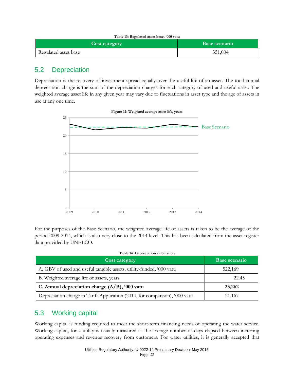| Table 13: Regulated asset base, '000 vatu |                      |  |  |
|-------------------------------------------|----------------------|--|--|
| <b>Cost category</b>                      | <b>Base scenario</b> |  |  |
| Regulated asset base                      | 351,004              |  |  |

### 5.2 Depreciation

Depreciation is the recovery of investment spread equally over the useful life of an asset. The total annual depreciation charge is the sum of the depreciation charges for each category of used and useful asset. The weighted average asset life in any given year may vary due to fluctuations in asset type and the age of assets in use at any one time.



For the purposes of the Base Scenario, the weighted average life of assets is taken to be the average of the period 2009-2014, which is also very close to the 2014 level. This has been calculated from the asset register data provided by UNELCO.

| Cost category                                                               | <b>Base scenario</b> |
|-----------------------------------------------------------------------------|----------------------|
| A. GBV of used and useful tangible assets, utility-funded, '000 vatu        | 522,169              |
| B. Weighted average life of assets, years                                   | 22.45                |
| C. Annual depreciation charge $(A/B)$ , '000 vatu                           | 23,262               |
| Depreciation charge in Tariff Application (2014, for comparison), '000 vatu | 21,167               |

### <span id="page-21-0"></span>5.3 Working capital

Working capital is funding required to meet the short-term financing needs of operating the water service. Working capital, for a utility is usually measured as the average number of days elapsed between incurring operating expenses and revenue recovery from customers. For water utilities, it is generally accepted that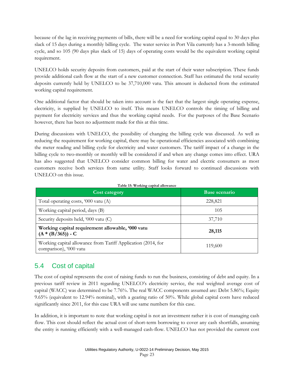because of the lag in receiving payments of bills, there will be a need for working capital equal to 30 days plus slack of 15 days during a monthly billing cycle. The water service in Port Vila currently has a 3-month billing cycle, and so 105 (90 days plus slack of 15) days of operating costs would be the equivalent working capital requirement.

UNELCO holds security deposits from customers, paid at the start of their water subscription. These funds provide additional cash flow at the start of a new customer connection. Staff has estimated the total security deposits currently held by UNELCO to be 37,710,000 vatu. This amount is deducted from the estimated working capital requirement.

One additional factor that should be taken into account is the fact that the largest single operating expense, electricity, is supplied by UNELCO to itself. This means UNELCO controls the timing of billing and payment for electricity services and thus the working capital needs. For the purposes of the Base Scenario however, there has been no adjustment made for this at this time.

During discussions with UNELCO, the possibility of changing the billing cycle was discussed. As well as reducing the requirement for working capital, there may be operational efficiencies associated with combining the meter reading and billing cycle for electricity and water customers. The tariff impact of a change in the billing cycle to two-monthly or monthly will be considered if and when any change comes into effect. URA has also suggested that UNELCO consider common billing for water and electric consumers as most customers receive both services from same utility. Staff looks forward to continued discussions with UNELCO on this issue.

| <b>Cost category</b>                                                                   | <b>Base scenario</b> |  |
|----------------------------------------------------------------------------------------|----------------------|--|
| Total operating costs, '000 vatu (A)                                                   | 228,821              |  |
| Working capital period, days (B)<br>105                                                |                      |  |
| Security deposits held, '000 vatu (C)                                                  | 37,710               |  |
| Working capital requirement allowable, '000 vatu<br>$(A * (B/365)) - C$                | 28,115               |  |
| Working capital allowance from Tariff Application (2014, for<br>comparison), '000 vatu | 119,600              |  |

#### **Table 15: Working capital allowance**

#### 5.4 Cost of capital

The cost of capital represents the cost of raising funds to run the business, consisting of debt and equity. In a previous tariff review in 2011 regarding UNELCO's electricity service, the real weighted average cost of capital (WACC) was determined to be 7.76%. The real WACC components assumed are: Debt 5.86%; Equity 9.65% (equivalent to 12.94% nominal), with a gearing ratio of 50%. While global capital costs have reduced significantly since 2011, for this case URA will use same numbers for this case.

In addition, it is important to note that working capital is not an investment rather it is cost of managing cash flow. This cost should reflect the actual cost of short-term borrowing to cover any cash shortfalls, assuming the entity is running efficiently with a well-managed cash-flow. UNELCO has not provided the current cost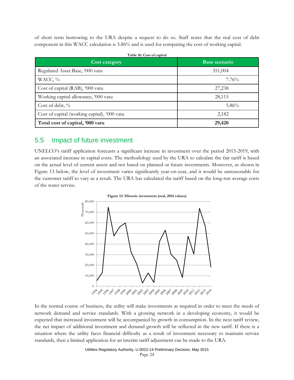of short term borrowing to the URA despite a request to do so. Staff notes that the real cost of debt component in this WACC calculation is 5.86% and is used for computing the cost of working capital.

| Table 16: Cost of capital                    |                      |  |  |  |
|----------------------------------------------|----------------------|--|--|--|
| <b>Cost category</b>                         | <b>Base scenario</b> |  |  |  |
| Regulated Asset Base, '000 vatu              | 351,004              |  |  |  |
| WACC, %                                      | 7.76%                |  |  |  |
| Cost of capital (RAB), '000 vatu             | 27,238               |  |  |  |
| Working capital allowance, '000 vatu         | 28,115               |  |  |  |
| Cost of debt, %                              | 5.86%                |  |  |  |
| Cost of capital (working capital), '000 vatu | 2,182                |  |  |  |
| Total cost of capital, '000 vatu             | 29,420               |  |  |  |

#### 5.5 Impact of future investment

UNELCO's tariff application forecasts a significant increase in investment over the period 2015-2019, with an associated increase in capital costs. The methodology used by the URA to calculate the fair tariff is based on the actual level of current assets and not based on planned or future investments. Moreover, as shown in [Figure 13](#page-23-0) [below,](#page-23-0) the level of investment varies significantly year-on-year, and it would be unreasonable for the customer tariff to vary as a result. The URA has calculated the tariff based on the long-run average costs of the water service.

<span id="page-23-0"></span>

In the normal course of business, the utility will make investments as required in order to meet the needs of network demand and service standards. With a growing network in a developing economy, it would be expected that increased investment will be accompanied by growth in consumption. In the next tariff review, the net impact of additional investment and demand growth will be reflected in the new tariff. If there is a situation where the utility faces financial difficulty as a result of investment necessary to maintain service standards, then a limited application for an interim tariff adjustment can be made to the URA.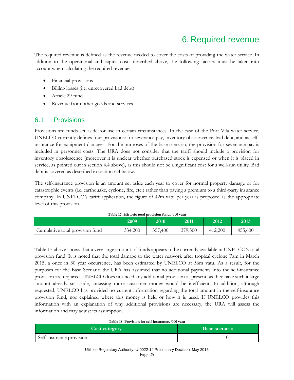### 6. Required revenue

The required revenue is defined as the revenue needed to cover the costs of providing the water service. In addition to the operational and capital costs described above, the following factors must be taken into account when calculating the required revenue:

- Financial provisions
- Billing losses (i.e. unrecovered bad debt)
- Article 29 fund
- Revenue from other goods and services

#### 6.1 Provisions

Provisions are funds set aside for use in certain circumstances. In the case of the Port Vila water service, UNELCO currently defines four provisions: for severance pay, inventory obsolescence, bad debt, and as selfinsurance for equipment damages. For the purposes of the base scenario, the provision for severance pay is included in personnel costs. The URA does not consider that the tariff should include a provision for inventory obsolescence (moreover it is unclear whether purchased stock is expensed or when it is placed in service, as pointed out in section [4.4 above\)](#page-18-0), as this should not be a significant cost for a well-run utility. Bad debt is covered as described in sectio[n 6.4 below.](#page-26-0)

The self-insurance provision is an amount set aside each year to cover for normal property damage or for catastrophic events (i.e. earthquake, cyclone, fire, etc.) rather than paying a premium to a third-party insurance company. In UNELCO's tariff application, the figure of 42m vatu per year is proposed as the appropriate level of this provision.

<span id="page-24-0"></span>

|                                 | 2009    | 2010    | 2011    | 2012    | 2013    |
|---------------------------------|---------|---------|---------|---------|---------|
| Cumulative total provision fund | 334,200 | 357,400 | 379,500 | 412.200 | 455,600 |

**Table 17: Historic total provision fund, '000 vatu**

[Table 17](#page-24-0) [above](#page-24-0) shows that a very large amount of funds appears to be currently available in UNELCO's total provision fund. It is noted that the total damage to the water network after tropical cyclone Pam in March 2015, a once in 30 year occurrence, has been estimated by UNELCO at 56m vatu. As a result, for the purposes for the Base Scenario the URA has assumed that no additional payments into the self-insurance provision are required. UNELCO does not need any additional provision at present, as they have such a large amount already set aside, amassing more customer money would be inefficient. In addition, although requested, UNELCO has provided no current information regarding the total amount in the self-insurance provision fund, nor explained where this money is held or how it is used. If UNELCO provides this information with an explanation of why additional provisions are necessary, the URA will assess the information and may adjust its assumption.

#### **Table 18: Provision for self-insurance, '000 vatu**

| <b>Cost category</b>     | <b>Base scenario</b> |
|--------------------------|----------------------|
| Self-insurance provision |                      |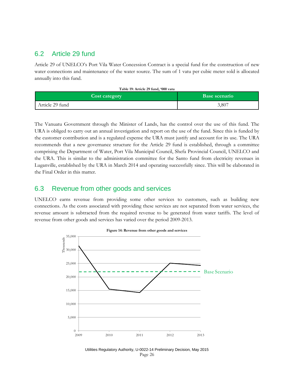#### 6.2 Article 29 fund

Article 29 of UNELCO's Port Vila Water Concession Contract is a special fund for the construction of new water connections and maintenance of the water source. The sum of 1 vatu per cubic meter sold is allocated annually into this fund.

| Table 19: Article 29 fund, '000 vatu |  |  |  |  |
|--------------------------------------|--|--|--|--|
|--------------------------------------|--|--|--|--|

| <b>Cost category</b> | Base scenario |
|----------------------|---------------|
| Article 29 fund      | 3,807         |

The Vanuatu Government through the Minister of Lands, has the control over the use of this fund. The URA is obliged to carry out an annual investigation and report on the use of the fund. Since this is funded by the customer contribution and is a regulated expense the URA must justify and account for its use. The URA recommends that a new governance structure for the Article 29 fund is established, through a committee comprising the Department of Water, Port Vila Municipal Council, Shefa Provincial Council, UNELCO and the URA. This is similar to the administration committee for the Santo fund from electricity revenues in Luganville, established by the URA in March 2014 and operating successfully since. This will be elaborated in the Final Order in this matter.

#### 6.3 Revenue from other goods and services

UNELCO earns revenue from providing some other services to customers, such as building new connections. As the costs associated with providing these services are not separated from water services, the revenue amount is subtracted from the required revenue to be generated from water tariffs. The level of revenue from other goods and services has varied over the period 2009-2013.



Utilities Regulatory Authority, U-0022-14 Preliminary Decision, May 2015 Page 26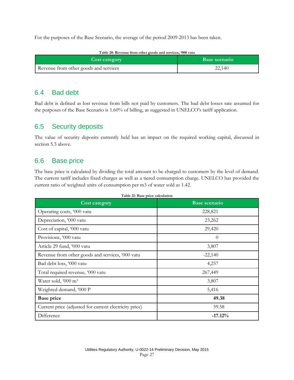For the purposes of the Base Scenario, the average of the period 2009-2013 has been taken.

| Table 20: Revenue from other goods and services, '000 vatu |                      |  |
|------------------------------------------------------------|----------------------|--|
| <b>Cost category</b>                                       | <b>Base scenario</b> |  |
| Revenue from other goods and services                      | 22,140               |  |

#### <span id="page-26-0"></span>6.4 Bad debt

Bad debt is defined as lost revenue from bills not paid by customers. The bad debt losses rate assumed for the purposes of the Base Scenario is 1.60% of billing, as suggested in UNELCO's tariff application.

#### 6.5 Security deposits

The value of security deposits currently held has an impact on the required working capital, discussed in section [5.3 above.](#page-21-0)

#### 6.6 Base price

The base price is calculated by dividing the total amount to be charged to customers by the level of demand. The current tariff includes fixed charges as well as a tiered consumption charge. UNELCO has provided the current ratio of weighted units of consumption per m3 of water sold as 1.42.

| <b>Cost category</b>                                   | <b>Base scenario</b> |
|--------------------------------------------------------|----------------------|
| Operating costs, '000 vatu                             | 228,821              |
| Depreciation, '000 vatu                                | 23,262               |
| Cost of capital, '000 vatu                             | 29,420               |
| Provisions, '000 vatu                                  | $\theta$             |
| Article 29 fund, '000 vatu                             | 3,807                |
| Revenue from other goods and services, '000 vatu       | $-22,140$            |
| Bad debt loss, '000 vatu                               | 4,257                |
| Total required revenue, '000 vatu                      | 267,449              |
| Water sold, '000 m <sup>3</sup>                        | 3,807                |
| Weighted demand, '000 P                                | 5,416                |
| <b>Base price</b>                                      | 49.38                |
| Current price (adjusted for current electricity price) | 59.58                |
| Difference                                             | $-17.12%$            |

**Table 21: Base price calculation**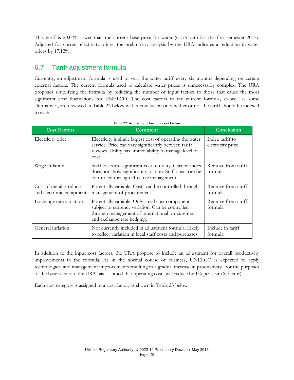This tariff is 20.04% lower than the current base price for water (61.75 vatu for the first semester 2015). Adjusted for current electricity prices, the preliminary analysis by the URA indicates a reduction in water prices by 17.12%.

### 6.7 Tariff adjustment formula

Currently, an adjustment formula is used to vary the water tariff every six months depending on certain external factors. The current formula used to calculate water prices is unnecessarily complex. The URA proposes simplifying the formula by reducing the number of input factors to those that cause the most significant cost fluctuations for UNELCO. The cost factors in the current formula, as well as some alternatives, are reviewed in [Table 22](#page-27-0) [below](#page-27-0) with a conclusion on whether or not the tariff should be indexed to each.

<span id="page-27-0"></span>

| <b>Cost Factors</b>                                | Comment                                                                                                                                                                              | Conclusion                           |
|----------------------------------------------------|--------------------------------------------------------------------------------------------------------------------------------------------------------------------------------------|--------------------------------------|
| Electricity price                                  | Electricity is single largest cost of operating the water<br>service. Price can vary significantly between tariff<br>reviews. Utility has limited ability to manage level of<br>cost | Index tariff to<br>electricity price |
| Wage inflation                                     | Staff costs are significant cost to utility. Current index<br>does not show significant variation. Staff costs can be<br>controlled through effective management.                    | Remove from tariff<br>formula        |
| Cost of metal products<br>and electronic equipment | Potentially variable. Costs can be controlled through<br>management of procurement                                                                                                   | Remove from tariff<br>formula        |
| Exchange rate variation                            | Potentially variable. Only small cost component<br>subject to currency variation. Can be controlled<br>through management of international procurement<br>and exchange rate hedging. | Remove from tariff<br>formula        |
| General inflation                                  | Not currently included in adjustment formula. Likely<br>to reflect variation in local staff costs and purchases.                                                                     | Include in tariff<br>formula         |

**Table 22: Adjustment formula cost factors**

In addition to the input cost factors, the URA propose to include an adjustment for overall productivity improvements in the formula. As in the normal course of business, UNELCO is expected to apply technological and management improvements resulting in a gradual increase in productivity. For the purposes of the base scenario, the URA has assumed that operating costs will reduce by 1% per year (X-factor).

Each cost category is assigned to a cost factor, as shown in [Table 23](#page-28-0) [below.](#page-28-0)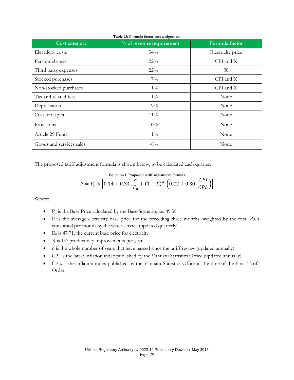<span id="page-28-0"></span>

| <b>Cost category</b>     | % of revenue requirement | Formula factor    |
|--------------------------|--------------------------|-------------------|
| Electricity costs        | $34\%$                   | Electricity price |
| Personnel costs          | $22\%$                   | $CPI$ and $X$     |
| Third party expenses     | $22\%$                   | X                 |
| Stocked purchases        | $7\%$                    | $CPI$ and $X$     |
| Non-stocked purchases    | $1\%$                    | $CPI$ and $X$     |
| Tax and related fees     | $1\%$                    | None              |
| Depreciation             | $9\%$                    | None              |
| Cost of Capital          | $11\%$                   | None              |
| Provisions               | $0\%$                    | None              |
| Article 29 Fund          | $1\%$                    | None              |
| Goods and services sales | $-8\%$                   | None              |

The proposed tariff adjustment formula is shown below, to be calculated each quarter:

Equation 1: Proposed tariff adjustment formula  
\n
$$
P = P_0 \times \left[0.14 + 0.34 \cdot \frac{E}{E_0} + (1 - X)^n \cdot \left(0.22 + 0.30 \cdot \frac{CPI}{CPI_0}\right)\right]
$$

Where:

- $\bullet$  P<sub>0</sub> is the Base Price calculated by the Base Scenario, i.e. 49.38
- E is the average electricity base price for the preceding three months, weighted by the total kWh consumed per month by the water service (updated quarterly)
- $\bullet$  E<sub>0</sub> is 47.71, the current base price for electricity
- X is 1% productivity improvements per year
- n is the whole number of years that have passed since the tariff review (updated annually)
- CPI is the latest inflation index published by the Vanuatu Statistics Office (updated annually)
- CPI<sup>0</sup> is the inflation index published by the Vanuatu Statistics Office at the time of the Final Tariff Order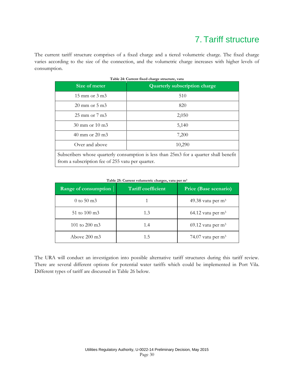## 7. Tariff structure

The current tariff structure comprises of a fixed charge and a tiered volumetric charge. The fixed charge varies according to the size of the connection, and the volumetric charge increases with higher levels of consumption.

| Size of meter                                                                         | <b>Quarterly subscription charge</b> |
|---------------------------------------------------------------------------------------|--------------------------------------|
| $15 \text{ mm}$ or $3 \text{ m}$                                                      | 510                                  |
| $20 \text{ mm}$ or $5 \text{ m}$                                                      | 820                                  |
| $25 \text{ mm}$ or $7 \text{ m}$ $3$                                                  | 2,050                                |
| $30 \text{ mm}$ or $10 \text{ m}$                                                     | 5,140                                |
| $40 \text{ mm}$ or $20 \text{ m}$ 3                                                   | 7,200                                |
| Over and above                                                                        | 10,290                               |
| Subscribers whose quarterly consumption is less than 25m3 for a quarter shall benefit |                                      |

**Table 24: Current fixed charge structure, vatu**

**Table 25: Current volumetric charges, vatu per m<sup>3</sup>**

from a subscription fee of 255 vatu per quarter.

| Range of consumption         | Tariff coefficient | Price (Base scenario) |
|------------------------------|--------------------|-----------------------|
| $0 \text{ to } 50 \text{ m}$ |                    | 49.38 vatu per $m3$   |
| 51 to $100 \text{ m}$ 3      | 1.3                | 64.12 vatu per $m3$   |
| 101 to 200 m <sup>3</sup>    | 1.4                | 69.12 vatu per $m3$   |
| Above $200 \text{ m}$ 3      | 1.5                | 74.07 vatu per $m3$   |

The URA will conduct an investigation into possible alternative tariff structures during this tariff review. There are several different options for potential water tariffs which could be implemented in Port Vila. Different types of tariff are discussed in [Table 26](#page-30-0) [below.](#page-30-0)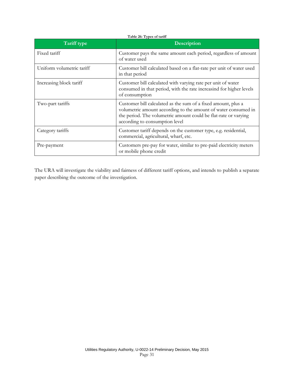<span id="page-30-0"></span>

| Tariff type               | Description                                                                                                                                                                                                                          |  |
|---------------------------|--------------------------------------------------------------------------------------------------------------------------------------------------------------------------------------------------------------------------------------|--|
| Fixed tariff              | Customer pays the same amount each period, regardless of amount<br>of water used                                                                                                                                                     |  |
| Uniform volumetric tariff | Customer bill calculated based on a flat-rate per unit of water used<br>in that period                                                                                                                                               |  |
| Increasing block tariff   | Customer bill calculated with varying rate per unit of water<br>consumed in that period, with the rate increasind for higher levels<br>of consumption                                                                                |  |
| Two-part tariffs          | Customer bill calculated as the sum of a fixed amount, plus a<br>volumetric amount according to the amount of water consumed in<br>the period. The volumetric amount could be flat-rate or varying<br>according to consumption level |  |
| Category tariffs          | Customer tariff depends on the customer type, e.g. residential,<br>commercial, agricultural, wharf, etc.                                                                                                                             |  |
| Pre-payment               | Customers pre-pay for water, similar to pre-paid electricity meters<br>or mobile phone credit                                                                                                                                        |  |

The URA will investigate the viability and fairness of different tariff options, and intends to publish a separate paper describing the outcome of the investigation.